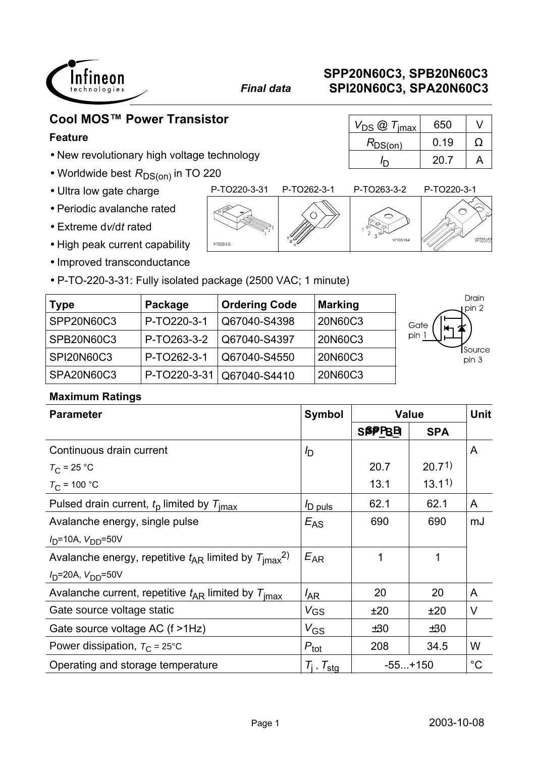

 $R_{DS(on)}$  0.19  $\Omega$ 

 $I_{\text{D}}$  20.7 | A

# **Cool MOS™ Power Transistor**  $\boxed{V_{DS} \textcircled{2} T_{\text{imax}}$  650 V

### **Feature**

- New revolutionary high voltage technology
- $\bullet$  Worldwide best  $R_\mathsf{DS(on)}$  in TO 220
- Ultra low gate charge
- Periodic avalanche rated
- Extreme d*v*/d*t* rated
- High peak current capability
- Improved transconductance
- P-TO-220-3-31: Fully isolated package (2500 VAC; 1 minute)

| <b>Type</b>       | Package     | <b>Ordering Code</b>        | <b>Marking</b> | Drain<br>pin 2         |
|-------------------|-------------|-----------------------------|----------------|------------------------|
| SPP20N60C3        | P-TO220-3-1 | Q67040-S4398                | 20N60C3        | Gate<br>Н.             |
| SPB20N60C3        | P-TO263-3-2 | Q67040-S4397                | 20N60C3        | pin                    |
| <b>SPI20N60C3</b> | P-TO262-3-1 | Q67040-S4550                | 20N60C3        | <b>Source</b><br>pin 3 |
| <b>SPA20N60C3</b> |             | P-TO220-3-31   Q67040-S4410 | 20N60C3        |                        |

### **Maximum Ratings**

| <b>Parameter</b>                                                         | <b>Symbol</b>            | <b>Value</b> |            | <b>Unit</b> |
|--------------------------------------------------------------------------|--------------------------|--------------|------------|-------------|
|                                                                          |                          | <b>SPPBB</b> | <b>SPA</b> |             |
| Continuous drain current                                                 | $I_{\text{D}}$           |              |            | A           |
| $T_{\rm C}$ = 25 °C                                                      |                          | 20.7         | 20.71      |             |
| $T_{C}$ = 100 °C                                                         |                          | 13.1         | 13.11      |             |
| Pulsed drain current, $t_0$ limited by $T_{\text{imax}}$                 | <sup>I</sup> D puls      | 62.1         | 62.1       | A           |
| Avalanche energy, single pulse                                           | $E_{AS}$                 | 690          | 690        | mJ          |
| $I_D$ =10A, $V_{DD}$ =50V                                                |                          |              |            |             |
| Avalanche energy, repetitive $t_{AR}$ limited by $T_{\text{imax}}^{2}$ . | $E_{AR}$                 | 1            |            |             |
| $I_D$ =20A, $V_{DD}$ =50V                                                |                          |              |            |             |
| Avalanche current, repetitive $t_{AR}$ limited by $T_{\text{imax}}$      | $I_{AR}$                 | 20           | 20         | A           |
| Gate source voltage static                                               | <b>V<sub>GS</sub></b>    | ±20          | ±20        | V           |
| Gate source voltage AC (f >1Hz)                                          | $V_{GS}$                 | ±30          | ±30        |             |
| Power dissipation, $T_{\rm C}$ = 25°C                                    | $P_{\text{tot}}$         | 208          | 34.5       | W           |
| Operating and storage temperature                                        | $T_i$ , $T_{\text{sta}}$ | $-55+150$    |            | $^{\circ}C$ |

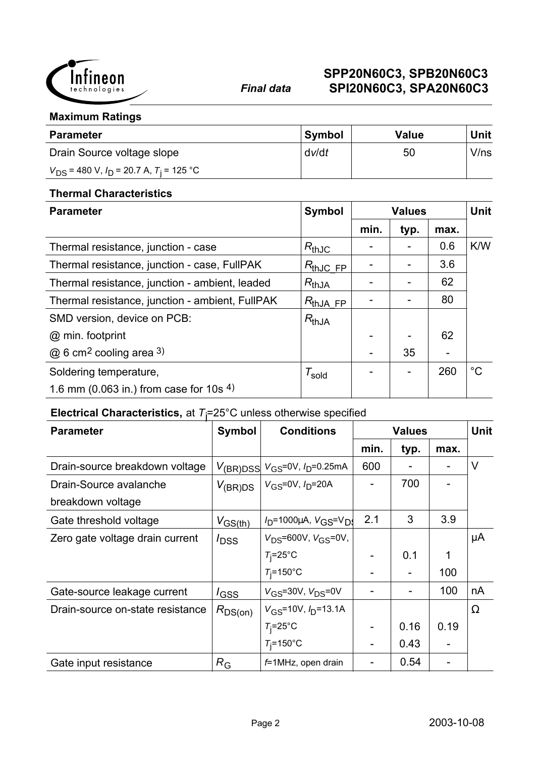

#### **Maximum Ratings**

| <b>Parameter</b>                                 | <b>Symbol</b> | Value | <b>Unit</b> |
|--------------------------------------------------|---------------|-------|-------------|
| Drain Source voltage slope                       | dv/dt         | 50    | V/ns        |
| $V_{DS}$ = 480 V, $I_D$ = 20.7 A, $T_i$ = 125 °C |               |       |             |

#### **Thermal Characteristics**

| <b>Parameter</b>                                | <b>Symbol</b>          |      | <b>Values</b> |      | <b>Unit</b> |
|-------------------------------------------------|------------------------|------|---------------|------|-------------|
|                                                 |                        | min. | typ.          | max. |             |
| Thermal resistance, junction - case             | $R_{thJC}$             |      |               | 0.6  | K/W         |
| Thermal resistance, junction - case, FullPAK    | $R_{thJC, FP}$         |      |               | 3.6  |             |
| Thermal resistance, junction - ambient, leaded  | $R_{thJA}$             |      |               | 62   |             |
| Thermal resistance, junction - ambient, FullPAK | $R_{thJA$ FP           |      |               | 80   |             |
| SMD version, device on PCB:                     | $R_{thJA}$             |      |               |      |             |
| @ min. footprint                                |                        |      |               | 62   |             |
| $@6$ cm <sup>2</sup> cooling area 3)            |                        |      | 35            |      |             |
| Soldering temperature,                          | $\tau_{\mathsf{gold}}$ |      |               | 260  | $^{\circ}C$ |
| 1.6 mm (0.063 in.) from case for 10s $4$ )      |                        |      |               |      |             |

## **Electrical Characteristics,** at *T*j =25°C unless otherwise specified

| <b>Parameter</b>                 | <b>Symbol</b>    | <b>Conditions</b>                                                | <b>Values</b> |      |      | <b>Unit</b> |
|----------------------------------|------------------|------------------------------------------------------------------|---------------|------|------|-------------|
|                                  |                  |                                                                  | min.          | typ. | max. |             |
| Drain-source breakdown voltage   |                  | $V_{\text{(BR)DSS}}$ $V_{\text{GS}}$ =0V, $I_{\text{D}}$ =0.25mA | 600           |      |      | V           |
| Drain-Source avalanche           | $V_{\rm (BR)DS}$ | $V_{GS} = 0V$ , $I_D = 20A$                                      |               | 700  |      |             |
| breakdown voltage                |                  |                                                                  |               |      |      |             |
| Gate threshold voltage           | $V_{GS(th)}$     | $V_D$ =1000µA, $V_{\text{GS}}$ = $V_D$                           | 2.1           | 3    | 3.9  |             |
| Zero gate voltage drain current  | $I_{\text{DSS}}$ | $V_{DS}$ =600V, $V_{GS}$ =0V,                                    |               |      |      | μA          |
|                                  |                  | $T_i = 25^\circ \text{C}$                                        |               | 0.1  | 1    |             |
|                                  |                  | $T_i = 150$ °C                                                   |               |      | 100  |             |
| Gate-source leakage current      | $I_{\text{GSS}}$ | $V_{GS}$ =30V, $V_{DS}$ =0V                                      |               |      | 100  | nA          |
| Drain-source on-state resistance | $R_{DS(on)}$     | $V_{GS}$ =10V, $I_{D}$ =13.1A                                    |               |      |      | $\Omega$    |
|                                  |                  | $T_i = 25^\circ \text{C}$                                        |               | 0.16 | 0.19 |             |
|                                  |                  | $T_i = 150$ °C                                                   |               | 0.43 |      |             |
| Gate input resistance            | $R_{\rm G}$      | f=1MHz, open drain                                               |               | 0.54 |      |             |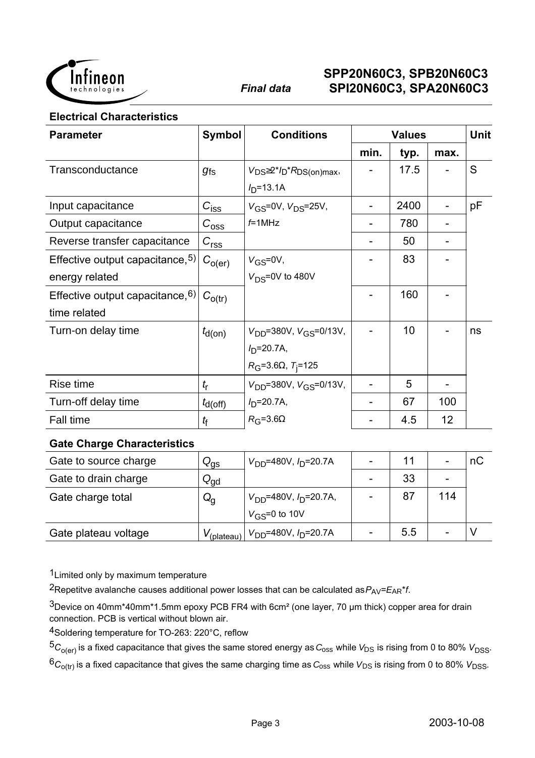

#### **Electrical Characteristics**

| <b>Parameter</b>                    | <b>Symbol</b>      | <b>Conditions</b>                      | <b>Values</b> |      |      | <b>Unit</b> |
|-------------------------------------|--------------------|----------------------------------------|---------------|------|------|-------------|
|                                     |                    |                                        | min.          | typ. | max. |             |
| Transconductance                    | $g_{fs}$           | $V_{DS} \geq 2^{*}/D^{*}R_{DS(on)max}$ |               | 17.5 |      | S           |
|                                     |                    | $I_{D} = 13.1A$                        |               |      |      |             |
| Input capacitance                   | $C_{\text{iss}}$   | $V_{GS} = 0V$ , $V_{DS} = 25V$ ,       |               | 2400 |      | pF          |
| Output capacitance                  | $C_{\rm{oss}}$     | $f=1$ MHz                              |               | 780  |      |             |
| Reverse transfer capacitance        | $C_{rss}$          |                                        |               | 50   |      |             |
| Effective output capacitance, 5)    | $C_{O(\text{er})}$ | $V_{GS} = 0V$ ,                        |               | 83   |      |             |
| energy related                      |                    | $V_{DS}$ =0V to 480V                   |               |      |      |             |
| Effective output capacitance, $6$ ) | $C_{O(tr)}$        |                                        |               | 160  |      |             |
| time related                        |                    |                                        |               |      |      |             |
| Turn-on delay time                  | $t_{d(on)}$        | $V_{DD} = 380V$ , $V_{GS} = 0/13V$ ,   |               | 10   |      | ns          |
|                                     |                    | $I_{D} = 20.7A,$                       |               |      |      |             |
|                                     |                    | $R_{G} = 3.6\Omega, T_{i} = 125$       |               |      |      |             |
| Rise time                           | $t_{\sf r}$        | $V_{DD} = 380V$ , $V_{GS} = 0/13V$ ,   |               | 5    |      |             |
| Turn-off delay time                 | $t_{d(off)}$       | $I_{\text{D}}$ =20.7A,                 |               | 67   | 100  |             |
| Fall time                           | $t_{\rm f}$        | $R_G = 3.6\Omega$                      |               | 4.5  | 12   |             |

#### **Gate Charge Characteristics**

| Gate to source charge | $Q_{\text{gs}}$ | $V_{DD}$ =480V, $I_D$ =20.7A                                        |     |     | nС |
|-----------------------|-----------------|---------------------------------------------------------------------|-----|-----|----|
| Gate to drain charge  | $Q_{\text{gd}}$ |                                                                     | 33  |     |    |
| Gate charge total     | $Q_{\rm q}$     | $V_{DD}$ =480V, $I_{D}$ =20.7A,                                     | 87  | 114 |    |
|                       |                 | $V_{\text{GS}} = 0$ to 10V                                          |     |     |    |
| Gate plateau voltage  |                 | $V_{\text{(plateau)}}$ $V_{\text{DD}}$ =480V, $I_{\text{D}}$ =20.7A | 5.5 |     |    |

1Limited only by maximum temperature

<sup>2</sup>Repetitve avalanche causes additional power losses that can be calculated as  $P_{AV} = E_{AR} * f$ .

 $3$ Device on 40mm\*40mm\*1.5mm epoxy PCB FR4 with 6cm<sup>2</sup> (one layer, 70 µm thick) copper area for drain connection. PCB is vertical without blown air.

4Soldering temperature for TO-263: 220°C, reflow

 $5C_{O(er)}$  is a fixed capacitance that gives the same stored energy as  $C_{OSS}$  while  $V_{DS}$  is rising from 0 to 80%  $V_{DSS}$ .

 ${}^6C_{O(tr)}$  is a fixed capacitance that gives the same charging time as  $C_{\text{oss}}$  while  $V_{DS}$  is rising from 0 to 80%  $V_{DSS}$ .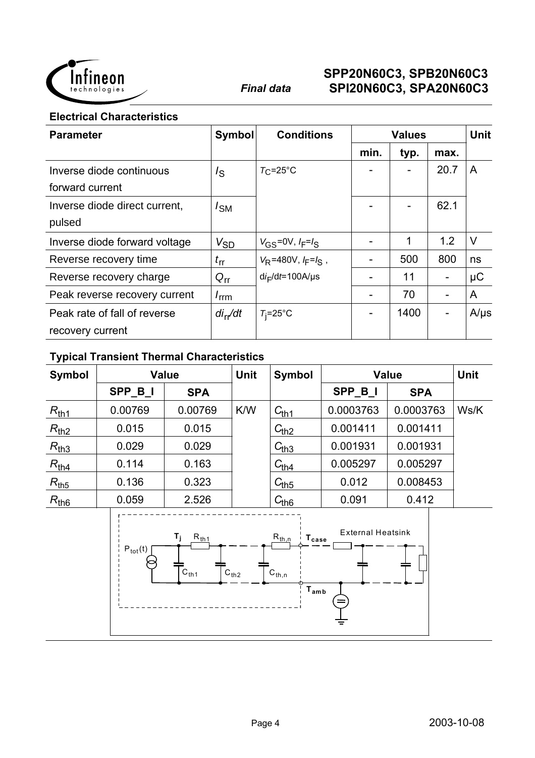

**Electrical Characteristics**

| <b>Parameter</b>              | <b>Symbol</b>    | <b>Conditions</b>          | <b>Values</b> |      | <b>Unit</b> |           |
|-------------------------------|------------------|----------------------------|---------------|------|-------------|-----------|
|                               |                  |                            | min.          | typ. | max.        |           |
| Inverse diode continuous      | $I_{\rm S}$      | $T_{\rm C}$ =25°C          |               |      | 20.7        | A         |
| forward current               |                  |                            |               |      |             |           |
| Inverse diode direct current, | $I_{SM}$         |                            |               |      | 62.1        |           |
| pulsed                        |                  |                            |               |      |             |           |
| Inverse diode forward voltage | $V_{SD}$         | $V_{GS} = 0V, I_F = I_S$   |               | 1    | 1.2         | $\vee$    |
| Reverse recovery time         | $t_{\rm fr}$     | $V_R$ =480V, $I_F = I_S$ , |               | 500  | 800         | ns        |
| Reverse recovery charge       | $Q_{rr}$         | $di_F/dt = 100A/\mu s$     |               | 11   |             | $\mu$ C   |
| Peak reverse recovery current | $I_{\text{rrm}}$ |                            |               | 70   |             | A         |
| Peak rate of fall of reverse  | $di_{rr}/dt$     | $T_i = 25^\circ \text{C}$  |               | 1400 |             | $A/\mu s$ |
| recovery current              |                  |                            |               |      |             |           |

## **Typical Transient Thermal Characteristics**

| <b>Symbol</b> |                     | Value                                         | <b>Unit</b> | <b>Symbol</b>                                                                      |                          | <b>Value</b> | <b>Unit</b> |
|---------------|---------------------|-----------------------------------------------|-------------|------------------------------------------------------------------------------------|--------------------------|--------------|-------------|
|               | SPP_B_I             | <b>SPA</b>                                    |             |                                                                                    | SPP_B_I                  | <b>SPA</b>   |             |
| $R_{th1}$     | 0.00769             | 0.00769                                       | K/W         | $C_{\underline{th1}}$                                                              | 0.0003763                | 0.0003763    | Ws/K        |
| $R_{th2}$     | 0.015               | 0.015                                         |             | $C_{\underline{th2}}$                                                              | 0.001411                 | 0.001411     |             |
| $R_{th3}$     | 0.029               | 0.029                                         |             | $C_{th3}$                                                                          | 0.001931                 | 0.001931     |             |
| $R_{th4}$     | 0.114               | 0.163                                         |             | $C_{\underline{th4}}$                                                              | 0.005297                 | 0.005297     |             |
| $R_{th5}$     | 0.136               | 0.323                                         |             | $C_{th5}$                                                                          | 0.012                    | 0.008453     |             |
| $R_{th6}$     | 0.059               | 2.526                                         |             | $C_{th6}$                                                                          | 0.091                    | 0.412        |             |
|               | $P_{\text{tot}}(t)$ | $T_{j}$<br>$R_{\underline{th1}}$<br>$C_{th1}$ | $C_{th2}$   | $R_{th,n}$<br>$T_{\tt case}$<br>$\mathtt{C}_{\mathsf{th},\mathtt{n}}$<br>$T_{amb}$ | <b>External Heatsink</b> |              |             |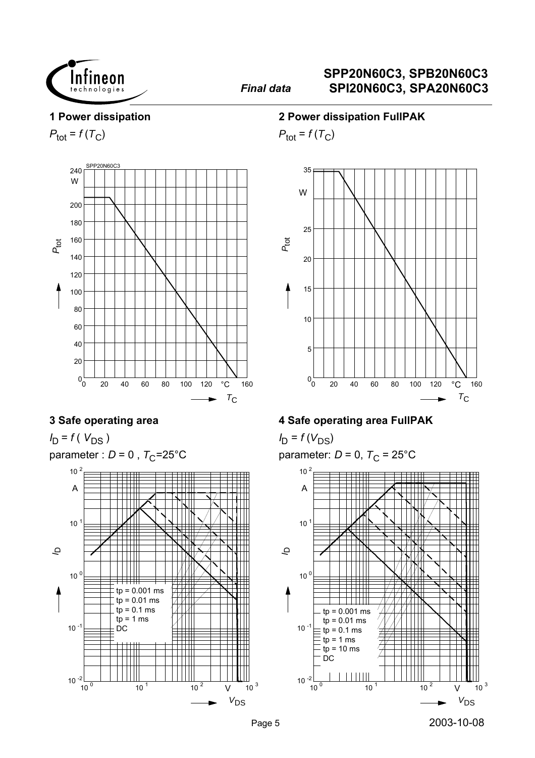

#### **1 Power dissipation**

 $P_{\text{tot}} = f(T_C)$ 



### **3 Safe operating area**

 $I_D = f(V_{DS})$ parameter :  $D = 0$ ,  $T_C = 25^{\circ}C$ 



#### **2 Power dissipation FullPAK**

 $P_{\text{tot}} = f(T_C)$ 



### **4 Safe operating area FullPAK**

 $I_D = f(V_{DS})$ parameter:  $D = 0$ ,  $T_C = 25^{\circ}$ C

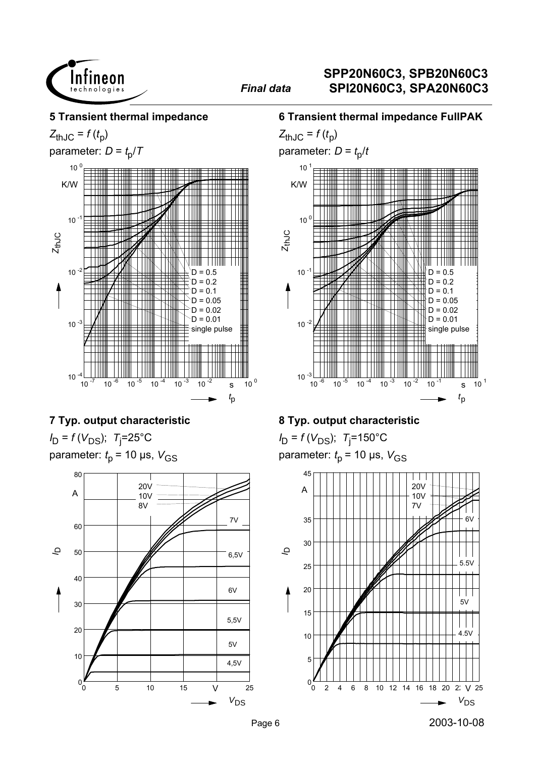

#### **5 Transient thermal impedance**

 $Z_{thJC} = f(t_p)$ 

parameter:  $D = t_0/T$ 



## **7 Typ. output characteristic**

*I*<sub>D</sub> = *f* (*V*<sub>DS</sub>); *T*<sub>j</sub>=25°C parameter:  $t_p$  = 10 µs,  $V_{GS}$ 



#### **6 Transient thermal impedance FullPAK**



## **8 Typ. output characteristic**

*I*<sub>D</sub> = *f* (*V*<sub>DS</sub>); *T*<sub>j</sub>=150°C parameter:  $t_p$  = 10 µs,  $V_{GS}$ 

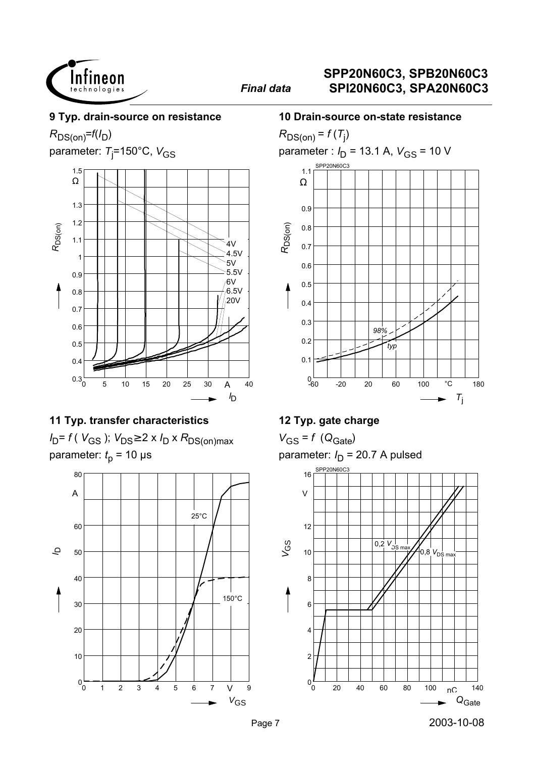

#### **9 Typ. drain-source on resistance**

 $R_{DS(on)}=f(I_D)$ 

parameter: *T*<sub>j</sub>=150°C, V<sub>GS</sub>



### **11 Typ. transfer characteristics**

 $I_D = f(V_{GS})$ ;  $V_{DS} \geq 2 \times I_D \times R_{DS(on)max}$ parameter:  $t_p$  = 10 µs



#### **10 Drain-source on-state resistance**



## **12 Typ. gate charge**

 $V_{GS} = f (Q_{Gate})$ parameter:  $I_D$  = 20.7 A pulsed

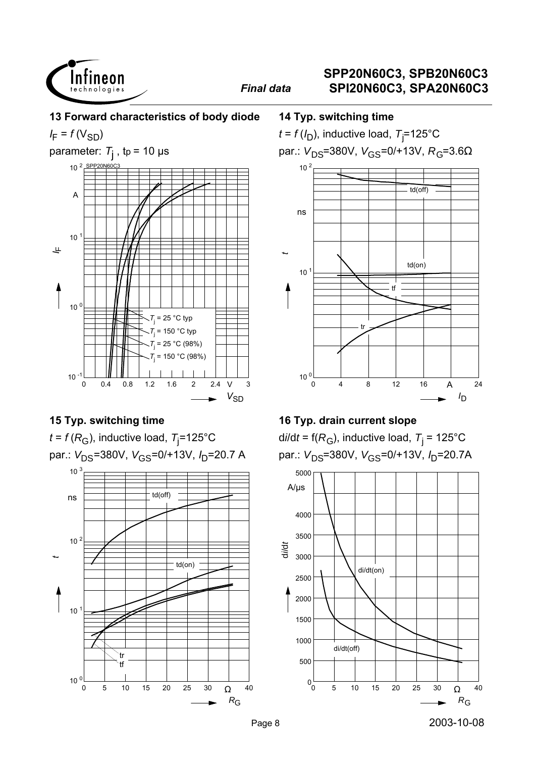

**13 Forward characteristics of body diode**

*I* F = *f* (VSD)



## **15 Typ. switching time**

 $t$  = *f* ( $R_{\rm G}$ ), inductive load,  $\rm \, \tau_{j}$ =125°C par.: V<sub>DS</sub>=380V, V<sub>GS</sub>=0/+13V, I<sub>D</sub>=20.7 A



#### **14 Typ. switching time**

 $t$  =  $f$  (/<sub>D</sub>), inductive load,  $\tau_{\rm j}$ =125°C par.:  $V_{DS}$ =380V,  $V_{GS}$ =0/+13V,  $R_{G}$ =3.6Ω



## **16 Typ. drain current slope**

d*i*/d*t* = f(*R*<sub>G</sub>), inductive load, *T*<sub>j</sub> = 125°C par.: V<sub>DS</sub>=380V, V<sub>GS</sub>=0/+13V, I<sub>D</sub>=20.7A

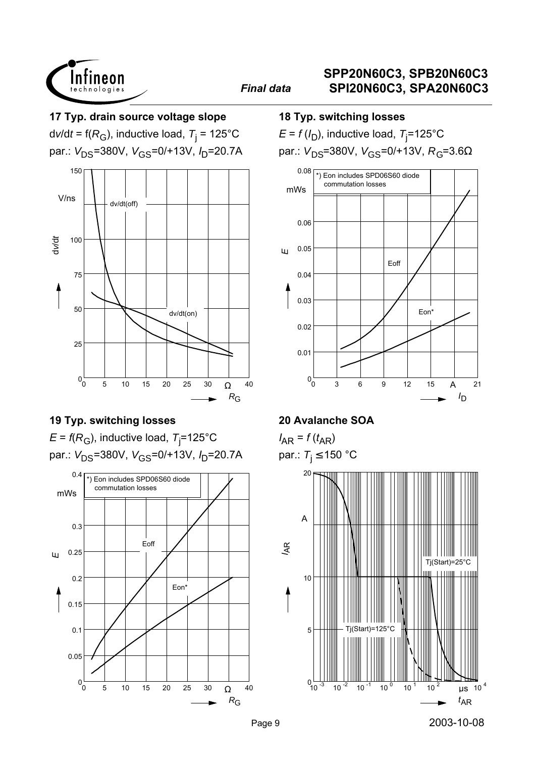

#### **17 Typ. drain source voltage slope**

d*v*/d*t* = f(*R*<sub>G</sub>), inductive load, *T*<sub>j</sub> = 125°C par.: V<sub>DS</sub>=380V, V<sub>GS</sub>=0/+13V, I<sub>D</sub>=20.7A



## **19 Typ. switching losses**

 $\mathsf E$  = *f*(R<sub>G</sub>), inductive load, T<sub>j</sub>=125°C par.: V<sub>DS</sub>=380V, V<sub>GS</sub>=0/+13V, I<sub>D</sub>=20.7A



#### **18 Typ. switching losses**

 $\bm{\mathsf{E}}$  =  $f$  (/<sub>D</sub>), inductive load,  $\bm{\mathsf{T}}_{\mathsf{j}}$ =125°C

par.:  $V_{DS}$ =380V,  $V_{GS}$ =0/+13V,  $R_G$ =3.6Ω



### **20 Avalanche SOA**

 $I_{AR} = f(t_{AR})$ par.:  $T_j \le 150$  °C

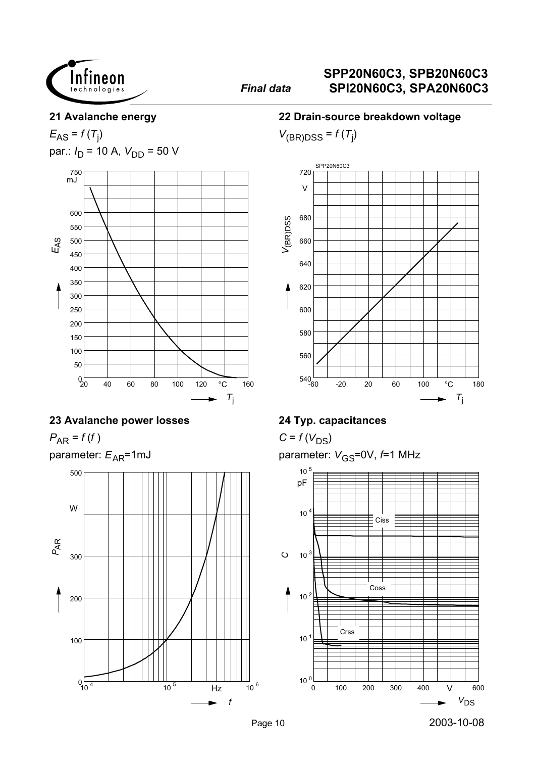

#### **21 Avalanche energy**

 $E_{AS} = f(T_j)$ par.:  $I_D$  = 10 A,  $V_{DD}$  = 50 V



#### **23 Avalanche power losses**

 $P_{AR} = f(f)$ 

parameter:  $E_{AR}$ =1mJ



#### **22 Drain-source breakdown voltage**

 $V_{(BR)DSS} = f(T_j)$ 



### **24 Typ. capacitances**

 $C = f(V_{DS})$ 

parameter:  $V_{\text{GS}}$ =0V,  $f$ =1 MHz

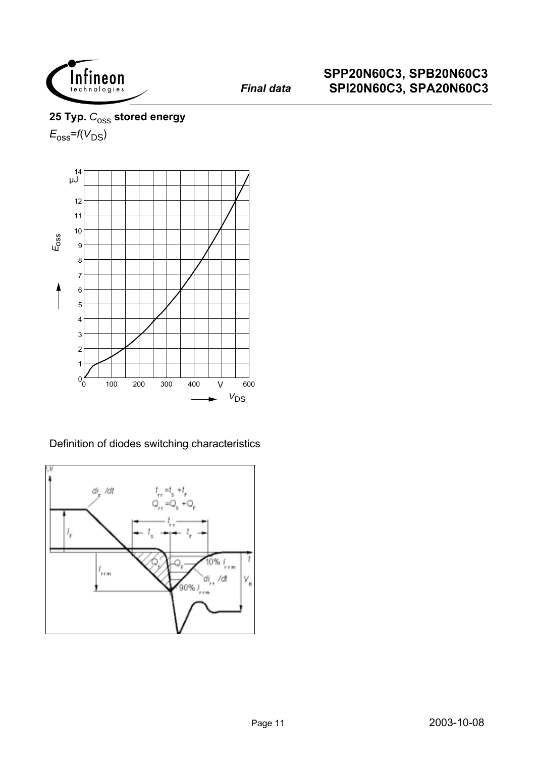

## 25 Typ.  $C_{\text{OSS}}$  stored energy  $E_{\rm oss}$ = $f(V_{\rm DS})$



Definition of diodes switching characteristics

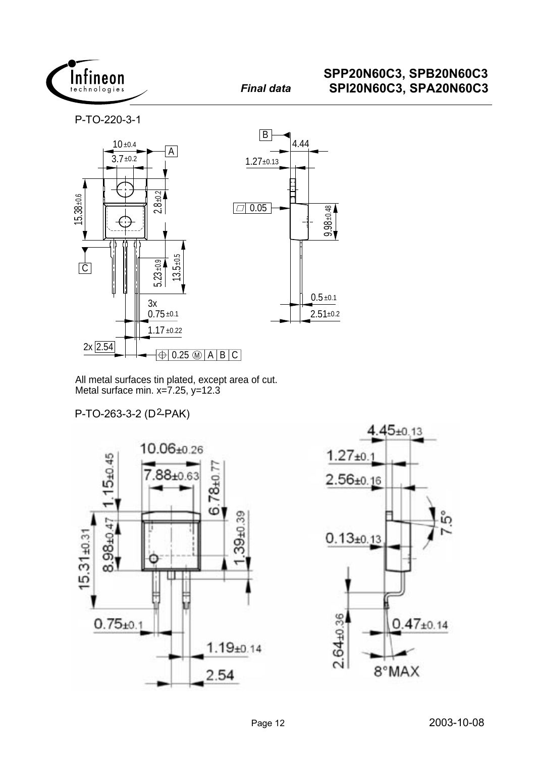

P-TO-220-3-1



All metal surfaces tin plated, except area of cut. Metal surface min.  $x=7.25$ ,  $y=12.3$ 

P-TO-263-3-2 (D2-PAK)



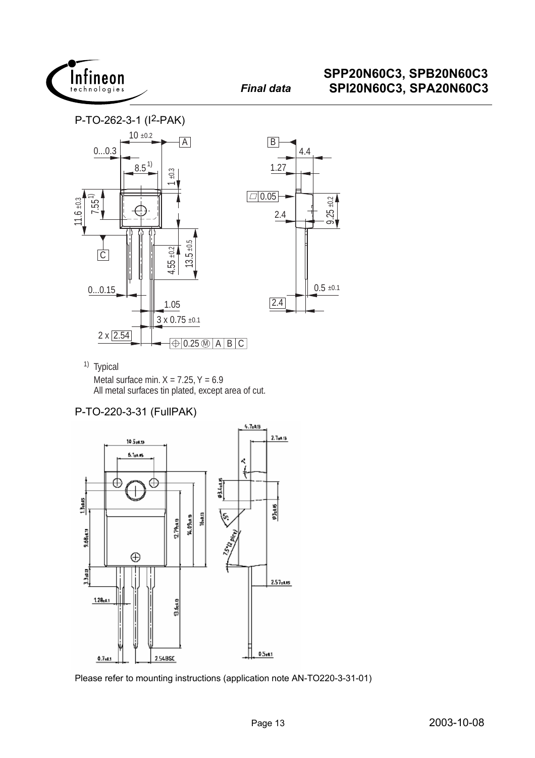





<sup>1)</sup> Typical Metal surface min.  $X = 7.25$ ,  $Y = 6.9$ <br>All metal surfaces tin plated, except area of cut.

#### P-TO-220-3-31 (FullPAK)



Please refer to mounting instructions (application note AN-TO220-3-31-01)